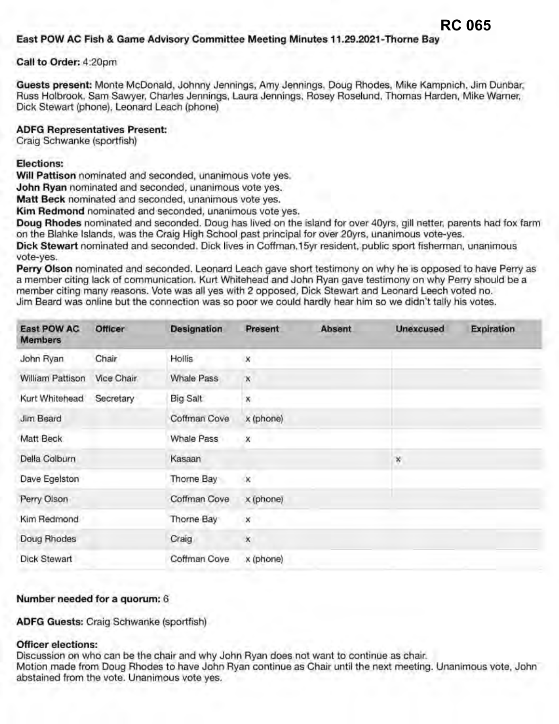**Guests present:** Monte McDonald, Johnny Jennings, Amy Jennings, Doug Rhodes, Mike Kampnich, Jim Dunbar, Russ Holbrook, Sam Sawyer, Charles Jennings, Laura Jennings, Rosey Roselund, Thomas Harden, Mike Warner, Dick Stewart {phone), Leonard Leach (phone)

**RC 065**

## **ADFG Representatives Present:**

Craig Schwanke (sportfish)

## **Elections:**

**Will Pattison** nominated and seconded, unanimous vote yes.

**John Ryan** nominated and seconded, unanimous vote yes.

**Matt Beck** nominated and seconded, unanimous vote yes.

**Kim Redmond** nominated and seconded, unanimous vote yes.

**Doug Rhodes** nominated and seconded. Doug has lived on the island for over 40yrs, gill netter, parents had fox farm on the Blahke Islands, was the Craig High School past principal for over 2Oyrs, unanimous vote-yes.

**Dick Stewart** nominated and seconded. Dick lives in Coffman, 15yr resident, public sport fisherman, unanimous vote-yes.

**Perry Olson** nominated and seconded. Leonard Leach gave short testimony on why he is opposed to have Perry as a member citing lack of communication. Kurt Whitehead and John Ryan gave testimony on why Perry should be a member citing many reasons. Vote was all yes with 2 opposed, Dick Stewart and Leonard Leech voted no. Jim Beard was online but the connection was so poor we could hardly hear him so we didn't tally his votes.

| <b>East POW AC</b><br><b>Members</b> | <b>Officer</b> | <b>Designation</b> | Present      | <b>Absent</b> | <b>Unexcused</b> | <b>Expiration</b> |
|--------------------------------------|----------------|--------------------|--------------|---------------|------------------|-------------------|
| John Ryan                            | Chair          | Hollis             | ×            |               |                  |                   |
| William Pattison                     | Vice Chair     | <b>Whale Pass</b>  | ×            |               |                  |                   |
| Kurt Whitehead                       | Secretary      | Big Salt           | ×            |               |                  |                   |
| Jim Beard                            |                | Coffman Cove       | x (phone)    |               |                  |                   |
| Matt Beck                            |                | <b>Whale Pass</b>  | $\mathsf{x}$ |               |                  |                   |
| Della Colburn                        |                | Kasaan             |              |               | ×                |                   |
| Dave Egelston                        |                | Thorne Bay         | $\infty$     |               |                  |                   |
| Perry Olson                          |                | Coffman Cove       | x (phone)    |               |                  |                   |
| Kim Redmond                          |                | Thorne Bay         | ×            |               |                  |                   |
| Doug Rhodes                          |                | Craig              | $\mathsf{x}$ |               |                  |                   |
| <b>Dick Stewart</b>                  |                | Coffman Cove       | x (phone)    |               |                  |                   |

## **Number needed for a quorum:** 6

**ADFG Guests:** Craig Schwanke (sportfish)

## **Officer elections:**

Discussion on who can be the chair and why John Ryan does not want to continue as chair. Motion made from Doug Rhodes to have John Ryan continue as Chair until the next meeting. Unanimous vote, John abstained from the vote. Unanimous vote yes.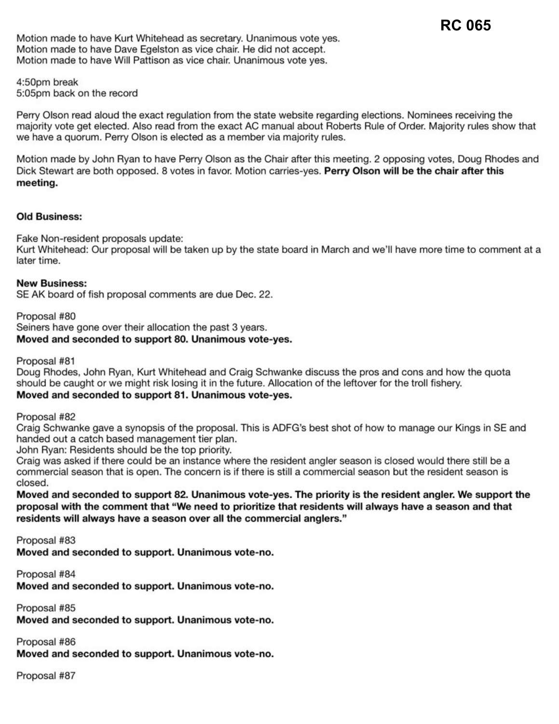Motion made to have Kurt Whitehead as secretary. Unanimous vote yes. Motion made to have Dave Egelston as vice chair. He did not accept. Motion made to have Will Pattison as vice chair. Unanimous vote yes.

4:50pm break 5:05pm back on the record

Perry Olson read aloud the exact regulation from the state website regarding elections. Nominees receiving the majority vote get elected. Also read from the exact AC manual about Roberts Rule of Order. Majority rules show that we have a quorum. Perry Olson is elected as a member via majority rules.

Motion made by John Ryan to have Perry Olson as the Chair after this meeting. 2 opposing votes, Doug Rhodes and Dick Stewart are both opposed. 8 votes in favor. Motion carries-yes. Perry Olson will be the chair after this **meeting.** 

## **Old Business:**

Fake Non-resident proposals update:

Kurt Whitehead: Our proposal will be taken up by the state board in March and we'll have more time to comment at a later time.

#### **New Business:**

SE AK board of fish proposal comments are due Dec. 22.

Proposal #80 Seiners have gone over their allocation the past 3 years. **Moved and seconded to support 80. Unanimous vote-yes.** 

Proposal #81

Doug Rhodes, John Ryan, Kurt Whitehead and Craig Schwanke discuss the pros and cons and how the quota should be caught or we might risk losing it in the future. Allocation of the leftover for the troll fishery. **Moved and seconded to support 81 . Unanimous vote-yes.** 

Proposal #82

Craig Schwanke gave a synopsis of the proposal. This is ADFG's best shot of how to manage our Kings in SE and handed out a catch based management tier plan.

John Ryan: Residents should be the top priority.

Craig was asked if there could be an instance where the resident angler season is closed would there still be a commercial season that is open. The concern is if there is still a commercial season but the resident season is closed.

**Moved and seconded to support 82. Unanimous vote-yes. The priority is the resident angler. We support the**  proposal with the comment that "We need to prioritize that residents will always have a season and that residents will always have a season over all the commercial anglers."

Proposal #83

Moved and seconded to support. Unanimous vote-no.

Proposal #84 **Moved** and seconded to support. Unanimous vote-no.

Proposal #85 **Moved** and seconded to support. Unanimous vote-no.

Proposal #86

**Moved and seconded to support. Unanimous vote-no.** 

Proposal #87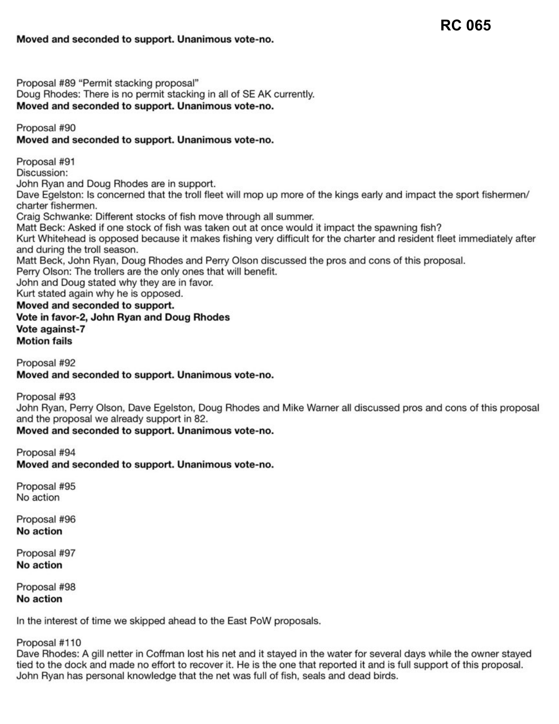**RC 065**

Proposal #89 "Permit stacking proposal" Doug Rhodes: There is no permit stacking in all of SE AK currently. **Moved and seconded to support. Unanimous vote-no.** 

Proposal #90

## **Moved and seconded to support. Unanimous vote-no.**

Proposal #91 Discussion: John Ryan and Doug Rhodes are in support. Dave Egelston: Is concerned that the troll fleet will mop up more of the kings early and impact the sport fishermen/ charter fishermen. Craig Schwanke: Different stocks of fish move through all summer. Matt Beck: Asked if one stock of fish was taken out at once would it impact the spawning fish? Kurt Whitehead is opposed because it makes fishing very difficult for the charter and resident fleet immediately after and during the troll season. Matt Beck, John Ryan, Doug Rhodes and Perry Olson discussed the pros and cons of this proposal. Perry Olson: The trollers are the only ones that will benefit. John and Doug stated why they are in favor. Kurt stated again why he is opposed. **Moved and seconded to support. Vote in favor-2, John Ryan and Doug Rhodes Vote against-7 Motion fails** 

Proposal #92

## **Moved and seconded to support. Unanimous vote-no.**

Proposal #93

John Ryan, Perry Olson, Dave Egelston, Doug Rhodes and Mike Warner all discussed pros and cons of this proposal and the proposal we already support in 82.

**Moved and seconded to support. Unanimous vote-no.** 

Proposal #94 **Moved and seconded to support. Unanimous vote-no.** 

Proposal #95 No action

Proposal #96 **No action** 

Proposal #97 **No action** 

Proposal #98 **No action** 

In the interest of time we skipped ahead to the East PoW proposals.

Proposal #110

Dave Rhodes: A gill netter in Coffman lost his net and it stayed in the water for several days while the owner stayed tied to the dock and made no effort to recover it. He is the one that reported it and is full support of this proposal. John Ryan has personal knowledge that the net was full of fish, seals and dead birds.